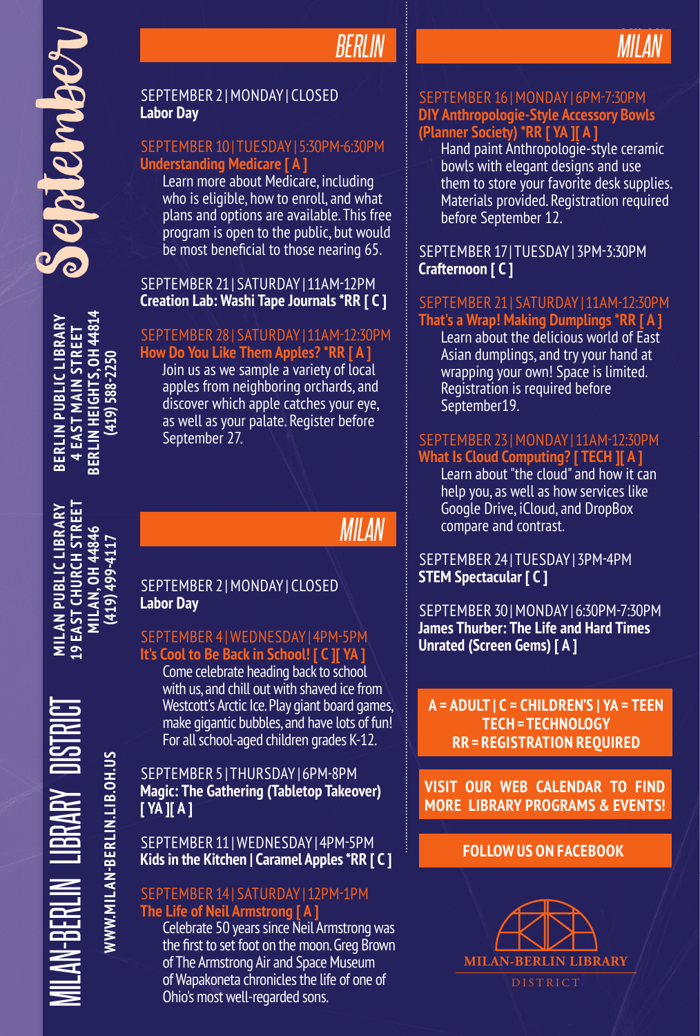BERLIN HEIGHTS, OH 44814<br>(419) 588-2250 **BERLIN HEIGHTS, OH 44814 BERLIN PUBLIC LIBRARY SERLIN PUBLIC LIBRARY 4 EAST MAIN STREET 4 EAST MAIN STREET (419) 588-2250**

MILAN-BERLIN LIBRARY DISTRICT **MILAN PUBLIC LIBRARY 19 EAST CHURCH STREET MILAN, OH 44846 L9 EAST CHURCH STREET MILAN PUBLIC LIBRARY** MILAN, 0H 44846<br>(419) 499-4117 **(419) 499-4117**

**WWW.MILAN-BERLIN.LIB.OH.US**

**NWW.MILAN-BERLIN.LIB.OH.US** 

N-BERLIN LIBRARY

# *BERLIN*



### SEPTEMBER 2 | MONDAY | CLOSED **Labor Day**

### SEPTEMBER 10 | TUESDAY | 5:30PM-6:30PM **Understanding Medicare [ A ]**

Learn more about Medicare, including who is eligible, how to enroll, and what plans and options are available. This free program is open to the public, but would be most beneficial to those nearing 65.

### SEPTEMBER 21 | SATURDAY | 11AM-12PM **Creation Lab: Washi Tape Journals \*RR [ C ]**

### SEPTEMBER 28 | SATURDAY | 11AM-12:30PM

**How Do You Like Them Apples? \*RR [ A ]**

Join us as we sample a variety of local apples from neighboring orchards, and discover which apple catches your eye, as well as your palate. Register before September 27.

# *MILAN*

### SEPTEMBER 2 | MONDAY | CLOSED **Labor Day**

### SEPTEMBER 4 | WEDNESDAY | 4PM-5PM **It's Cool to Be Back in School! [ C ][ YA ]**

Come celebrate heading back to school with us, and chill out with shaved ice from Westcott's Arctic Ice. Play giant board games, make gigantic bubbles, and have lots of fun! For all school-aged children grades K-12.

### SEPTEMBER 5 | THURSDAY | 6PM-8PM **Magic: The Gathering (Tabletop Takeover) [ YA ][ A ]**

### SEPTEMBER 11 | WEDNESDAY | 4PM-5PM **Kids in the Kitchen | Caramel Apples \*RR [ C ]**

### SEPTEMBER 14 | SATURDAY | 12PM-1PM **The Life of Neil Armstrong [ A ]**

Celebrate 50 years since Neil Armstrong was the first to set foot on the moon. Greg Brown of The Armstrong Air and Space Museum of Wapakoneta chronicles the life of one of Ohio's most well-regarded sons.

### SEPTEMBER 16 | MONDAY | 6PM-7:30PM **DIY Anthropologie-Style Accessory Bowls (Planner Society) \*RR [ YA ][ A ]**

Hand paint Anthropologie-style ceramic bowls with elegant designs and use them to store your favorite desk supplies. Materials provided. Registration required before September 12.

### SEPTEMBER 17 | TUESDAY | 3PM-3:30PM **Crafternoon [ C ]**

## SEPTEMBER 21 | SATURDAY | 11AM-12:30PM

**That's a Wrap! Making Dumplings \*RR [ A ]** Learn about the delicious world of East Asian dumplings, and try your hand at wrapping your own! Space is limited. Registration is required before September19.

### SEPTEMBER 23 | MONDAY | 11AM-12:30PM **What Is Cloud Computing? [ TECH ][ A ]**

Learn about "the cloud" and how it can help you, as well as how services like Google Drive, iCloud, and DropBox compare and contrast.

### SEPTEMBER 24 | TUESDAY | 3PM-4PM **STEM Spectacular [ C ]**

SEPTEMBER 30 | MONDAY | 6:30PM-7:30PM **James Thurber: The Life and Hard Times Unrated (Screen Gems) [ A ]**

**A = ADULT | C = CHILDREN'S | YA = TEEN TECH = TECHNOLOGY RR = REGISTRATION REQUIRED**

**VISIT OUR WEB CALENDAR TO FIND MORE LIBRARY PROGRAMS & EVENTS!**

### **FOLLOW US ON FACEBOOK**